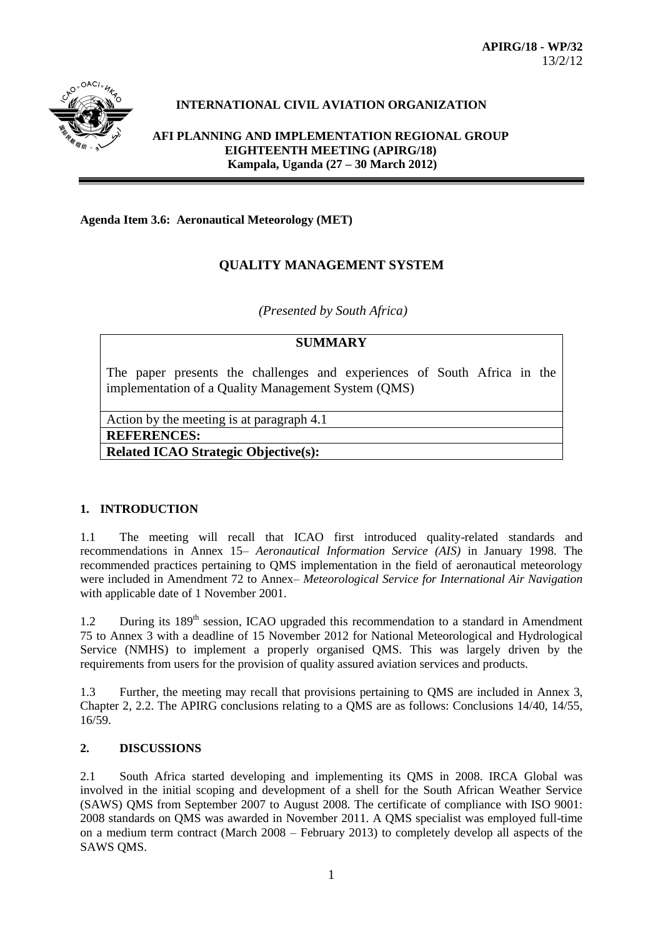

# **INTERNATIONAL CIVIL AVIATION ORGANIZATION**

**AFI PLANNING AND IMPLEMENTATION REGIONAL GROUP EIGHTEENTH MEETING (APIRG/18) Kampala, Uganda (27 – 30 March 2012)**

#### **Agenda Item 3.6: Aeronautical Meteorology (MET)**

# **QUALITY MANAGEMENT SYSTEM**

*(Presented by South Africa)*

#### **SUMMARY**

The paper presents the challenges and experiences of South Africa in the implementation of a Quality Management System (QMS)

Action by the meeting is at paragraph 4.1

**REFERENCES:**

**Related ICAO Strategic Objective(s):** 

#### **1. INTRODUCTION**

1.1 The meeting will recall that ICAO first introduced quality-related standards and recommendations in Annex 15– *Aeronautical Information Service (AIS)* in January 1998. The recommended practices pertaining to QMS implementation in the field of aeronautical meteorology were included in Amendment 72 to Annex– *Meteorological Service for International Air Navigation* with applicable date of 1 November 2001.

1.2 During its 189<sup>th</sup> session, ICAO upgraded this recommendation to a standard in Amendment 75 to Annex 3 with a deadline of 15 November 2012 for National Meteorological and Hydrological Service (NMHS) to implement a properly organised QMS. This was largely driven by the requirements from users for the provision of quality assured aviation services and products.

1.3 Further, the meeting may recall that provisions pertaining to QMS are included in Annex 3, Chapter 2, 2.2. The APIRG conclusions relating to a QMS are as follows: Conclusions 14/40, 14/55, 16/59.

# **2. DISCUSSIONS**

2.1 South Africa started developing and implementing its QMS in 2008. IRCA Global was involved in the initial scoping and development of a shell for the South African Weather Service (SAWS) QMS from September 2007 to August 2008. The certificate of compliance with ISO 9001: 2008 standards on QMS was awarded in November 2011. A QMS specialist was employed full-time on a medium term contract (March 2008 – February 2013) to completely develop all aspects of the SAWS QMS.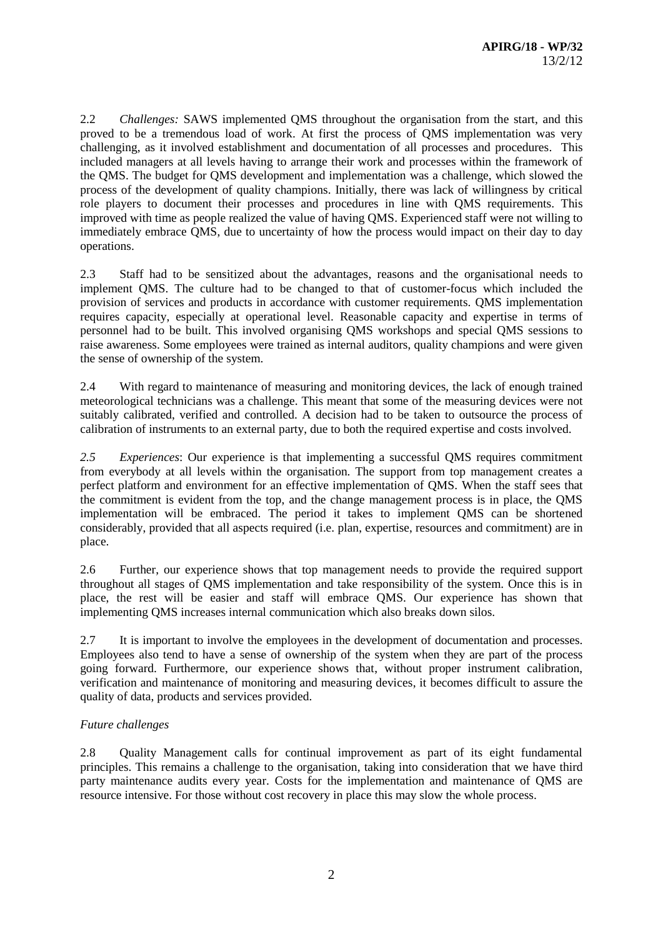2.2 *Challenges:* SAWS implemented QMS throughout the organisation from the start, and this proved to be a tremendous load of work. At first the process of QMS implementation was very challenging, as it involved establishment and documentation of all processes and procedures. This included managers at all levels having to arrange their work and processes within the framework of the QMS. The budget for QMS development and implementation was a challenge, which slowed the process of the development of quality champions. Initially, there was lack of willingness by critical role players to document their processes and procedures in line with QMS requirements. This improved with time as people realized the value of having QMS. Experienced staff were not willing to immediately embrace QMS, due to uncertainty of how the process would impact on their day to day operations.

2.3 Staff had to be sensitized about the advantages, reasons and the organisational needs to implement QMS. The culture had to be changed to that of customer-focus which included the provision of services and products in accordance with customer requirements. QMS implementation requires capacity, especially at operational level. Reasonable capacity and expertise in terms of personnel had to be built. This involved organising QMS workshops and special QMS sessions to raise awareness. Some employees were trained as internal auditors, quality champions and were given the sense of ownership of the system.

2.4 With regard to maintenance of measuring and monitoring devices, the lack of enough trained meteorological technicians was a challenge. This meant that some of the measuring devices were not suitably calibrated, verified and controlled. A decision had to be taken to outsource the process of calibration of instruments to an external party, due to both the required expertise and costs involved.

*2.5 Experiences*: Our experience is that implementing a successful QMS requires commitment from everybody at all levels within the organisation. The support from top management creates a perfect platform and environment for an effective implementation of QMS. When the staff sees that the commitment is evident from the top, and the change management process is in place, the QMS implementation will be embraced. The period it takes to implement QMS can be shortened considerably, provided that all aspects required (i.e. plan, expertise, resources and commitment) are in place.

2.6 Further, our experience shows that top management needs to provide the required support throughout all stages of QMS implementation and take responsibility of the system. Once this is in place, the rest will be easier and staff will embrace QMS. Our experience has shown that implementing QMS increases internal communication which also breaks down silos.

2.7 It is important to involve the employees in the development of documentation and processes. Employees also tend to have a sense of ownership of the system when they are part of the process going forward. Furthermore, our experience shows that, without proper instrument calibration, verification and maintenance of monitoring and measuring devices, it becomes difficult to assure the quality of data, products and services provided.

## *Future challenges*

2.8 Quality Management calls for continual improvement as part of its eight fundamental principles. This remains a challenge to the organisation, taking into consideration that we have third party maintenance audits every year. Costs for the implementation and maintenance of QMS are resource intensive. For those without cost recovery in place this may slow the whole process.